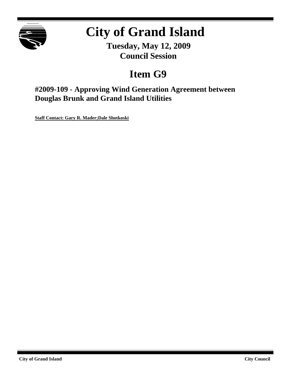

# **City of Grand Island**

**Tuesday, May 12, 2009 Council Session**

## **Item G9**

**#2009-109 - Approving Wind Generation Agreement between Douglas Brunk and Grand Island Utilities**

**Staff Contact: Gary R. Mader;Dale Shotkoski**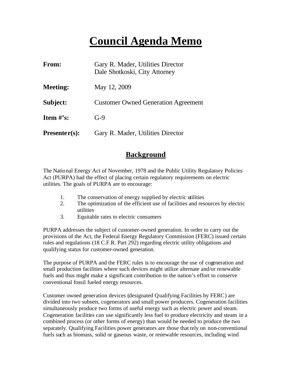## **Council Agenda Memo**

| From:           | Gary R. Mader, Utilities Director<br>Dale Shotkoski, City Attorney |  |  |  |
|-----------------|--------------------------------------------------------------------|--|--|--|
| <b>Meeting:</b> | May 12, 2009                                                       |  |  |  |
| Subject:        | <b>Customer Owned Generation Agreement</b>                         |  |  |  |
| Item $\#$ 's:   | $G-9$                                                              |  |  |  |
| $Presenter(s):$ | Gary R. Mader, Utilities Director                                  |  |  |  |

### **Background**

The National Energy Act of November, 1978 and the Public Utility Regulatory Policies Act (PURPA) had the effect of placing certain regulatory requirements on electric utilities. The goals of PURPA are to encourage:

- 1. The conservation of energy supplied by electric utilities
- 2. The optimization of the efficient use of facilities and resources by electric utilities
- 3. Equitable rates to electric consumers

PURPA addresses the subject of customer-owned generation. In order to carry out the provisions of the Act, the Federal Energy Regulatory Commission (FERC) issued certain rules and regulations (18 C.F.R. Part 292) regarding electric utility obligations and qualifying status for customer-owned generation.

The purpose of PURPA and the FERC rules is to encourage the use of cogeneration and small production facilities where such devices might utilize alternate and/or renewable fuels and thus might make a significant contribution to the nation's effort to conserve conventional fossil fueled energy resources.

Customer owned generation devices (designated Qualifying Facilities by FERC) are divided into two subsets, cogenerators and small power producers. Cogeneration facilities simultaneously produce two forms of useful energy such as electric power and steam. Cogeneration facilities can use significantly less fuel to produce electricity and steam in a combined process (or other forms of energy) than would be needed to produce the two separately. Qualifying Facilities power generators are those that rely on non-conventional fuels such as biomass, solid or gaseous waste, or renewable resources, including wind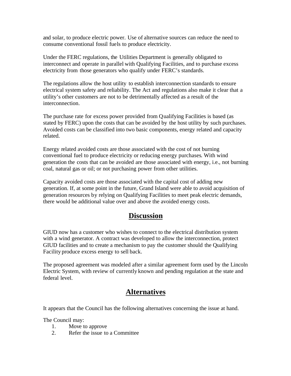and solar, to produce electric power. Use of alternative sources can reduce the need to consume conventional fossil fuels to produce electricity.

Under the FERC regulations, the Utilities Department is generally obligated to interconnect and operate in parallel with Qualifying Facilities, and to purchase excess electricity from those generators who qualify under FERC's standards.

The regulations allow the host utility to establish interconnection standards to ensure electrical system safety and reliability. The Act and regulations also make it clear that a utility's other customers are not to be detrimentally affected as a result of the interconnection.

The purchase rate for excess power provided from Qualifying Facilities is based (as stated by FERC) upon the costs that can be avoided by the host utility by such purchases. Avoided costs can be classified into two basic components, energy related and capacity related.

Energy related avoided costs are those associated with the cost of not burning conventional fuel to produce electricity or reducing energy purchases. With wind generation the costs that can be avoided are those associated with energy, i.e., not burning coal, natural gas or oil; or not purchasing power from other utilities.

Capacity avoided costs are those associated with the capital cost of adding new generation. If, at some point in the future, Grand Island were able to avoid acquisition of generation resources by relying on Qualifying Facilities to meet peak electric demands, there would be additional value over and above the avoided energy costs.

### **Discussion**

GIUD now has a customer who wishes to connect to the electrical distribution system with a wind generator. A contract was developed to allow the interconnection, protect GIUD facilities and to create a mechanism to pay the customer should the Qualifying Facility produce excess energy to sell back.

The proposed agreement was modeled after a similar agreement form used by the Lincoln Electric System, with review of currently known and pending regulation at the state and federal level.

## **Alternatives**

It appears that the Council has the following alternatives concerning the issue at hand.

The Council may:

- 1. Move to approve
- 2. Refer the issue to a Committee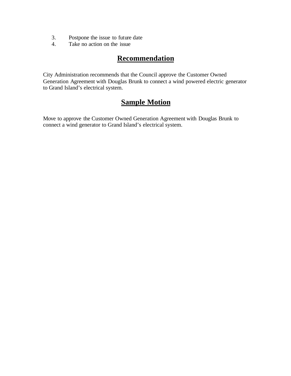- 3. Postpone the issue to future date
- 4. Take no action on the issue

## **Recommendation**

City Administration recommends that the Council approve the Customer Owned Generation Agreement with Douglas Brunk to connect a wind powered electric generator to Grand Island's electrical system.

## **Sample Motion**

Move to approve the Customer Owned Generation Agreement with Douglas Brunk to connect a wind generator to Grand Island's electrical system.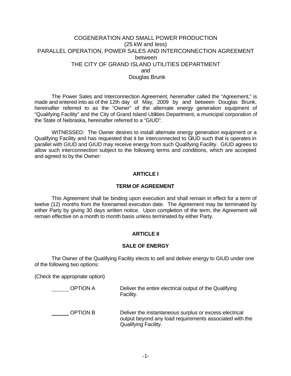#### COGENERATION AND SMALL POWER PRODUCTION (25 kW and less) PARALLEL OPERATION, POWER SALES AND INTERCONNECTION AGREEMENT between THE CITY OF GRAND ISLAND UTILITIES DEPARTMENT and Douglas Brunk

The Power Sales and Interconnection Agreement, hereinafter called the "Agreement," is made and entered into as of the 12th day of May, 2009 by and between Douglas Brunk, hereinafter referred to as the "Owner" of the alternate energy generation equipment of "Qualifying Facility" and the City of Grand Island Utilities Department, a municipal corporation of the State of Nebraska, hereinafter referred to a "GIUD".

WITNESSED: The Owner desires to install alternate energy generation equipment or a Qualifying Facility and has requested that it be interconnected to GIUD such that is operates in parallel with GIUD and GIUD may receive energy from such Qualifying Facility. GIUD agrees to allow such interconnection subject to the following terms and conditions, which are accepted and agreed to by the Owner:

#### **ARTICLE I**

#### **TERM OF AGREEMENT**

This Agreement shall be binding upon execution and shall remain in effect for a term of twelve (12) months from the forenamed execution date. The Agreement may be terminated by either Party by giving 30 days written notice. Upon completion of the term, the Agreement will remain effective on a month to month basis unless terminated by either Party.

#### **ARTICLE II**

#### **SALE OF ENERGY**

The Owner of the Qualifying Facility elects to sell and deliver energy to GIUD under one of the following two options:

(Check the appropriate option)

| <b>OPTION A</b> | Deliver the entire electrical output of the Qualifying<br>Facility.                                                                       |
|-----------------|-------------------------------------------------------------------------------------------------------------------------------------------|
| OPTION B        | Deliver the instantaneous surplus or excess electrical<br>output beyond any load requirements associated with the<br>Qualifying Facility. |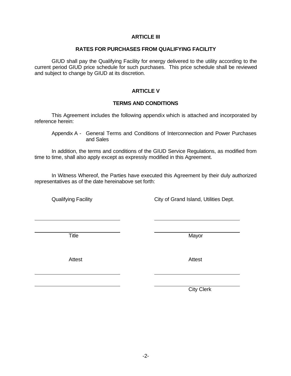#### **ARTICLE III**

#### **RATES FOR PURCHASES FROM QUALIFYING FACILITY**

GIUD shall pay the Qualifying Facility for energy delivered to the utility according to the current period GIUD price schedule for such purchases. This price schedule shall be reviewed and subject to change by GIUD at its discretion.

#### **ARTICLE V**

#### **TERMS AND CONDITIONS**

This Agreement includes the following appendix which is attached and incorporated by reference herein:

In addition, the terms and conditions of the GIUD Service Regulations, as modified from time to time, shall also apply except as expressly modified in this Agreement.

In Witness Whereof, the Parties have executed this Agreement by their duly authorized representatives as of the date hereinabove set forth:

Qualifying Facility City of Grand Island, Utilities Dept.

Title **Mayor** 

Attest **Attendix Active Active Active** Attest

City Clerk

Appendix A - General Terms and Conditions of Interconnection and Power Purchases and Sales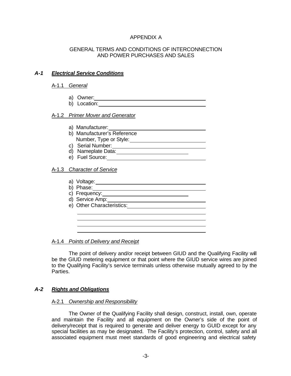#### APPENDIX A

#### GENERAL TERMS AND CONDITIONS OF INTERCONNECTION AND POWER PURCHASES AND SALES

#### *A-1 Electrical Service Conditions*

#### A-1.1 *General*

- a) Owner: 2000 Contract and Contract and Contract and Contract and Contract and Contract and Contract and Contract and Contract and Contract and Contract and Contract and Contract and Contract and Contract and Contract and
- b) Location:

#### A-1.2 *Primer Mover and Generator*

- a) Manufacturer:
- b) Manufacturer's Reference Number, Type or Style:
- c) Serial Number: <u>Figure 1000 Serial Number:</u>
- d) Nameplate Data: 11 November 2016
- e) Fuel Source: <u>contract and the set of the set of the set of the set of the set of the set of the set of the set of the set of the set of the set of the set of the set of the set of the set of the set of the set of the s</u>

#### A-1.3 *Character of Service*

- a) Voltage: b) Phase: $\frac{1}{\sqrt{1-\frac{1}{2}}}\left\{ \frac{1}{2}, \frac{1}{2}, \frac{1}{2}\right\}$ c) Frequency:
- d) Service Amp: 2000 and 2000 and 2000 and 2000 and 2000 and 2000 and 2000 and 2000 and 2000 and 2000 and 2000

<u> 1980 - Johann Barnett, fransk politik (f. 1980)</u>

e) Other Characteristics:

#### A-1.4 *Points of Delivery and Receipt*

The point of delivery and/or receipt between GIUD and the Qualifying Facility will be the GIUD metering equipment or that point where the GIUD service wires are joined to the Qualifying Facility's service terminals unless otherwise mutually agreed to by the Parties.

#### *A-2 Rights and Obligations*

#### A-2.1 *Ownership and Responsibility*

The Owner of the Qualifying Facility shall design, construct, install, own, operate and maintain the Facility and all equipment on the Owner's side of the point of delivery/receipt that is required to generate and deliver energy to GUID except for any special facilities as may be designated. The Facility's protection, control, safety and all associated equipment must meet standards of good engineering and electrical safety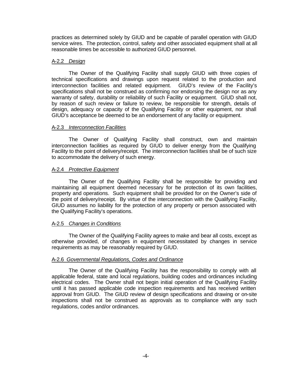practices as determined solely by GIUD and be capable of parallel operation with GIUD service wires. The protection, control, safety and other associated equipment shall at all reasonable times be accessible to authorized GIUD personnel.

#### A-2.2 *Design*

The Owner of the Qualifying Facility shall supply GIUD with three copies of technical specifications and drawings upon request related to the production and interconnection facilities and related equipment. GIUD's review of the Facility's specifications shall not be construed as confirming nor endorsing the design nor as any warranty of safety, durability or reliability of such Facility or equipment. GIUD shall not, by reason of such review or failure to review, be responsible for strength, details of design, adequacy or capacity of the Qualifying Facility or other equipment, nor shall GIUD's acceptance be deemed to be an endorsement of any facility or equipment.

#### A-2.3 *Interconnection Facilities*

The Owner of Qualifying Facility shall construct, own and maintain interconnection facilities as required by GIUD to deliver energy from the Qualifying Facility to the point of delivery/receipt. The interconnection facilities shall be of such size to accommodate the delivery of such energy.

#### A-2.4 *Protective Equipment*

The Owner of the Qualifying Facility shall be responsible for providing and maintaining all equipment deemed necessary for the protection of its own facilities, property and operations. Such equipment shall be provided for on the Owner's side of the point of delivery/receipt. By virtue of the interconnection with the Qualifying Facility, GIUD assumes no liability for the protection of any property or person associated with the Qualifying Facility's operations.

#### A-2.5 *Changes in Conditions*

The Owner of the Qualifying Facility agrees to make and bear all costs, except as otherwise provided, of changes in equipment necessitated by changes in service requirements as may be reasonably required by GIUD.

#### A-2.6 *Governmental Regulations, Codes and Ordinance*

The Owner of the Qualifying Facility has the responsibility to comply with all applicable federal, state and local regulations, building codes and ordinances including electrical codes. The Owner shall not begin initial operation of the Qualifying Facility until it has passed applicable code inspection requirements and has received written approval from GIUD. The GIUD review of design specifications and drawing or on-site inspections shall not be construed as approvals as to compliance with any such regulations, codes and/or ordinances.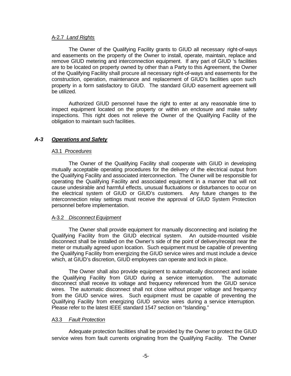#### A-2.7 *Land Rights*

The Owner of the Qualifying Facility grants to GIUD all necessary right-of-ways and easements on the property of the Owner to install, operate, maintain, replace and remove GIUD metering and interconnection equipment. If any part of GIUD 's facilities are to be located on property owned by other than a Party to this Agreement, the Owner of the Qualifying Facility shall procure all necessary right-of-ways and easements for the construction, operation, maintenance and replacement of GIUD's facilities upon such property in a form satisfactory to GIUD. The standard GIUD easement agreement will be utilized.

Authorized GIUD personnel have the right to enter at any reasonable time to inspect equipment located on the property or within an enclosure and make safety inspections. This right does not relieve the Owner of the Qualifying Facility of the obligation to maintain such facilities.

#### *A-3 Operations and Safety*

#### A3.1 *Procedures*

The Owner of the Qualifying Facility shall cooperate with GIUD in developing mutually acceptable operating procedures for the delivery of the electrical output from the Qualifying Facility and associated interconnection. The Owner will be responsible for operating the Qualifying Facility and associated equipment in a manner that will not cause undesirable and harmful effects, unusual fluctuations or disturbances to occur on the electrical system of GIUD or GIUD's customers. Any future changes to the interconnection relay settings must receive the approval of GIUD System Protection personnel before implementation.

#### A-3.2 *Disconnect Equipment*

The Owner shall provide equipment for manually disconnecting and isolating the Qualifying Facility from the GIUD electrical system. An outside-mounted visible disconnect shall be installed on the Owner's side of the point of delivery/receipt near the meter or mutually agreed upon location. Such equipment must be capable of preventing the Qualifying Facility from energizing the GIUD service wires and must include a device which, at GIUD's discretion, GIUD employees can operate and lock in place.

The Owner shall also provide equipment to automatically disconnect and isolate the Qualifying Facility from GIUD during a service interruption. The automatic disconnect shall receive its voltage and frequency referenced from the GIUD service wires. The automatic disconnect shall not close without proper voltage and frequency from the GIUD service wires. Such equipment must be capable of preventing the Qualifying Facility from energizing GIUD service wires during a service interruption. Please refer to the latest IEEE standard 1547 section on "Islanding."

#### A3.3 *Fault Protection*

Adequate protection facilities shall be provided by the Owner to protect the GIUD service wires from fault currents originating from the Qualifying Facility. The Owner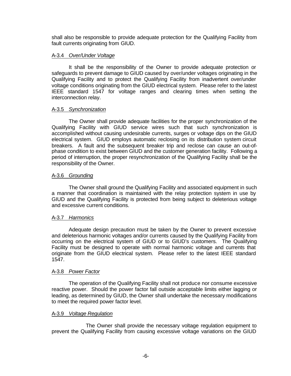shall also be responsible to provide adequate protection for the Qualifying Facility from fault currents originating from GIUD.

#### A-3.4 *Over/Under Voltage*

It shall be the responsibility of the Owner to provide adequate protection or safeguards to prevent damage to GIUD caused by over/under voltages originating in the Qualifying Facility and to protect the Qualifying Facility from inadvertent over/under voltage conditions originating from the GIUD electrical system. Please refer to the latest IEEE standard 1547 for voltage ranges and clearing times when setting the interconnection relay.

#### A-3.5 *Synchronization*

The Owner shall provide adequate facilities for the proper synchronization of the Qualifying Facility with GIUD service wires such that such synchronization is accomplished without causing undesirable currents, surges or voltage dips on the GIUD electrical system. GIUD employs automatic reclosing on its distribution system circuit breakers. A fault and the subsequent breaker trip and reclose can cause an out-ofphase condition to exist between GIUD and the customer generation facility. Following a period of interruption, the proper resynchronization of the Qualifying Facility shall be the responsibility of the Owner.

#### A-3.6 *Grounding*

The Owner shall ground the Qualifying Facility and associated equipment in such a manner that coordination is maintained with the relay protection system in use by GIUD and the Qualifying Facility is protected from being subject to deleterious voltage and excessive current conditions.

#### A-3.7 *Harmonics*

Adequate design precaution must be taken by the Owner to prevent excessive and deleterious harmonic voltages and/or currents caused by the Qualifying Facility from occurring on the electrical system of GIUD or to GIUD's customers. The Qualifying Facility must be designed to operate with normal harmonic voltage and currents that originate from the GIUD electrical system. Please refer to the latest IEEE standard 1547.

#### A-3.8 *Power Factor*

The operation of the Qualifying Facility shall not produce nor consume excessive reactive power. Should the power factor fall outside acceptable limits either lagging or leading, as determined by GIUD, the Owner shall undertake the necessary modifications to meet the required power factor level.

#### A-3.9 *Voltage Regulation*

The Owner shall provide the necessary voltage regulation equipment to prevent the Qualifying Facility from causing excessive voltage variations on the GIUD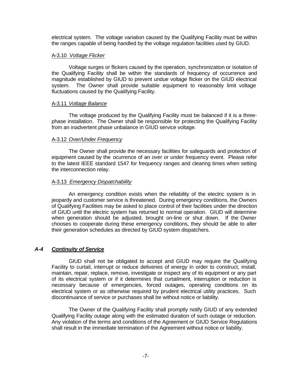electrical system. The voltage variation caused by the Qualifying Facility must be within the ranges capable of being handled by the voltage regulation facilities used by GIUD.

#### A-3.10 *Voltage Flicker*

Voltage surges or flickers caused by the operation, synchronization or isolation of the Qualifying Facility shall be within the standards of frequency of occurrence and magnitude established by GIUD to prevent undue voltage flicker on the GIUD electrical system. The Owner shall provide suitable equipment to reasonably limit voltage fluctuations caused by the Qualifying Facility.

#### A-3.11 *Voltage Balance*

The voltage produced by the Qualifying Facility must be balanced if it is a threephase installation. The Owner shall be responsible for protecting the Qualifying Facility from an inadvertent phase unbalance in GIUD service voltage.

#### A-3.12 *Over/Under Frequency*

The Owner shall provide the necessary facilities for safeguards and protection of equipment caused by the ocurrence of an over or under frequency event. Please refer to the latest IEEE standard 1547 for frequency ranges and clearing times when setting the interconnection relay.

#### A-3.13 *Emergency Dispatchability*

An emergency condition exists when the reliability of the electric system is in jeopardy and customer service is threatened. During emergency conditions, the Owners of Qualifying Facilities may be asked to place control of their facilities under the direction of GIUD until the electric system has returned to normal operation. GIUD will determine when generation should be adjusted, brought on-line or shut down. If the Owner chooses to cooperate during these emergency conditions, they should be able to alter their generation schedules as directed by GIUD system dispatchers.

#### *A-4 Continuity of Service*

GIUD shall not be obligated to accept and GIUD may require the Qualifying Facility to curtail, interrupt or reduce deliveries of energy in order to construct, install, maintain, repair, replace, remove, investigate or inspect any of its equipment or any part of its electrical system or if it determines that curtailment, interruption or reduction is necessary because of emergencies, forced outages, operating conditions on its electrical system or as otherwise required by prudent electrical utility practices. Such discontinuance of service or purchases shall be without notice or liability.

The Owner of the Qualifying Facility shall promptly notify GIUD of any extended Qualifying Facility outage along with the estimated duration of such outage or reduction. Any violation of the terms and conditions of the Agreement or GIUD Service Regulations shall result in the immediate termination of the Agreement without notice or liability.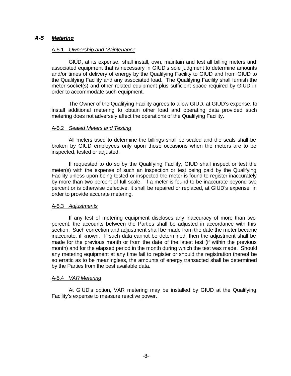#### *A-5 Metering*

#### A-5.1 *Ownership and Maintenance*

GIUD, at its expense, shall install, own, maintain and test all billing meters and associated equipment that is necessary in GIUD's sole judgment to determine amounts and/or times of delivery of energy by the Qualifying Facility to GIUD and from GIUD to the Qualifying Facility and any associated load. The Qualifying Facility shall furnish the meter socket(s) and other related equipment plus sufficient space required by GIUD in order to accommodate such equipment.

The Owner of the Qualifying Facility agrees to allow GIUD, at GIUD's expense, to install additional metering to obtain other load and operating data provided such metering does not adversely affect the operations of the Qualifying Facility.

#### A-5.2 *Sealed Meters and Testing*

All meters used to determine the billings shall be sealed and the seals shall be broken by GIUD employees only upon those occasions when the meters are to be inspected, tested or adjusted.

If requested to do so by the Qualifying Facility, GIUD shall inspect or test the meter(s) with the expense of such an inspection or test being paid by the Qualifying Facility unless upon being tested or inspected the meter is found to register inaccurately by more than two percent of full scale. If a meter is found to be inaccurate beyond two percent or is otherwise defective, it shall be repaired or replaced, at GIUD's expense, in order to provide accurate metering.

#### A-5.3 *Adjustments*

If any test of metering equipment discloses any inaccuracy of more than two percent, the accounts between the Parties shall be adjusted in accordance with this section. Such correction and adjustment shall be made from the date the meter became inaccurate, if known. If such data cannot be determined, then the adjustment shall be made for the previous month or from the date of the latest test (if within the previous month) and for the elapsed period in the month during which the test was made. Should any metering equipment at any time fail to register or should the registration thereof be so erratic as to be meaningless, the amounts of energy transacted shall be determined by the Parties from the best available data.

#### A-5.4 *VAR Metering*

At GIUD's option, VAR metering may be installed by GIUD at the Qualifying Facility's expense to measure reactive power.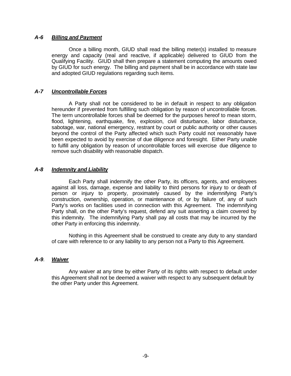#### *A-6 Billing and Payment*

Once a billing month, GIUD shall read the billing meter(s) installed to measure energy and capacity (real and reactive, if applicable) delivered to GIUD from the Qualifying Facility. GIUD shall then prepare a statement computing the amounts owed by GIUD for such energy. The billing and payment shall be in accordance with state law and adopted GIUD regulations regarding such items.

#### *A-7 Uncontrollable Forces*

A Party shall not be considered to be in default in respect to any obligation hereunder if prevented from fulfilling such obligation by reason of uncontrollable forces. The term uncontrollable forces shall be deemed for the purposes hereof to mean storm, flood, lightening, earthquake, fire, explosion, civil disturbance, labor disturbance, sabotage, war, national emergency, restrant by court or public authority or other causes beyond the control of the Party affected which such Party could not reasonably have been expected to avoid by exercise of due diligence and foresight. Either Party unable to fulfill any obligation by reason of uncontrollable forces will exercise due diligence to remove such disability with reasonable dispatch.

#### *A-8 Indemnity and Liability*

Each Party shall indemnify the other Party, its officers, agents, and employees against all loss, damage, expense and liability to third persons for injury to or death of person or injury to property, proximately caused by the indemnifying Party's construction, ownership, operation, or maintenance of, or by failure of, any of such Party's works on facilities used in connection with this Agreement. The indemnifying Party shall, on the other Party's request, defend any suit asserting a claim covered by this indemnity. The indemnifying Party shall pay all costs that may be incurred by the other Party in enforcing this indemnity.

Nothing in this Agreement shall be construed to create any duty to any standard of care with reference to or any liability to any person not a Party to this Agreement.

#### *A-9*. *Waiver*

Any waiver at any time by either Party of its rights with respect to default under this Agreement shall not be deemed a waiver with respect to any subsequent default by the other Party under this Agreement.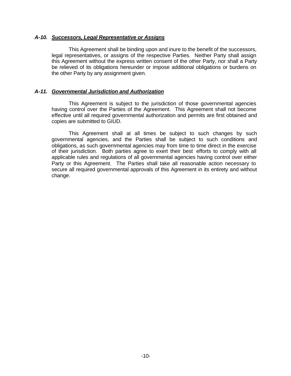#### *A-10. Successors, Legal Representative or Assigns*

This Agreement shall be binding upon and inure to the benefit of the successors, legal representatives, or assigns of the respective Parties. Neither Party shall assign this Agreement without the express written consent of the other Party, nor shall a Party be relieved of its obligations hereunder or impose additional obligations or burdens on the other Party by any assignment given.

#### *A-11. Governmental Jurisdiction and Authorization*

This Agreement is subject to the jurisdiction of those governmental agencies having control over the Parties of the Agreement. This Agreement shall not become effective until all required governmental authorization and permits are first obtained and copies are submitted to GIUD.

This Agreement shall at all times be subject to such changes by such governmental agencies, and the Parties shall be subject to such conditions and obligations, as such governmental agencies may from time to time direct in the exercise of their jurisdiction. Both parties agree to exert their best efforts to comply with all applicable rules and regulations of all governmental agencies having control over either Party or this Agreement. The Parties shall take all reasonable action necessary to secure all required governmental approvals of this Agreement in its entirety and without change.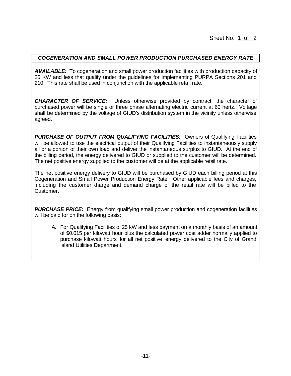#### *COGENERATION AND SMALL POWER PRODUCTION PURCHASED ENERGY RATE*

*AVAILABLE:* To cogeneration and small power production facilities with production capacity of 25 KW and less that qualify under the guidelines for implementing PURPA Sections 201 and 210. This rate shall be used in conjunction with the applicable retail rate.

*CHARACTER OF SERVICE:* Unless otherwise provided by contract, the character of purchased power will be single or three phase alternating electric current at 60 hertz. Voltage shall be determined by the voltage of GIUD's distribution system in the vicinity unless otherwise agreed.

*PURCHASE OF OUTPUT FROM QUALIFYING FACILITIES:* Owners of Qualifying Facilities will be allowed to use the electrical output of their Qualifying Facilities to instantaneously supply all or a portion of their own load and deliver the instantaneous surplus to GIUD. At the end of the billing period, the energy delivered to GIUD or supplied to the customer will be determined. The net positive energy supplied to the customer will be at the applicable retail rate.

The net positive energy delivery to GIUD will be purchased by GIUD each billing period at this Cogeneration and Small Power Production Energy Rate. Other applicable fees and charges, including the customer charge and demand charge of the retail rate will be billed to the Customer.

**PURCHASE PRICE:** Energy from qualifying small power production and cogeneration facilities will be paid for on the following basis:

A. For Qualifying Facilities of 25 kW and less payment on a monthly basis of an amount of \$0.015 per kilowatt hour plus the calculated power cost adder normally applied to purchase kilowatt hours for all net positive energy delivered to the City of Grand Island Utilities Department.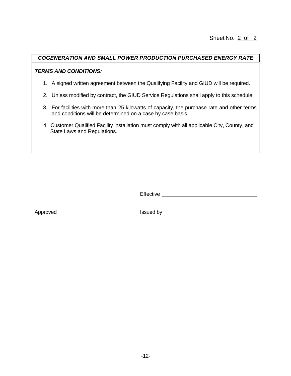#### *COGENERATION AND SMALL POWER PRODUCTION PURCHASED ENERGY RATE*

#### *TERMS AND CONDITIONS:*

- 1. A signed written agreement between the Qualifying Facility and GIUD will be required.
- 2. Unless modified by contract, the GIUD Service Regulations shall apply to this schedule.
- 3. For facilities with more than 25 kilowatts of capacity, the purchase rate and other terms and conditions will be determined on a case by case basis.
- 4. Customer Qualified Facility installation must comply with all applicable City, County, and State Laws and Regulations.

|          | Effective |
|----------|-----------|
|          |           |
|          |           |
| Approved | Issued by |